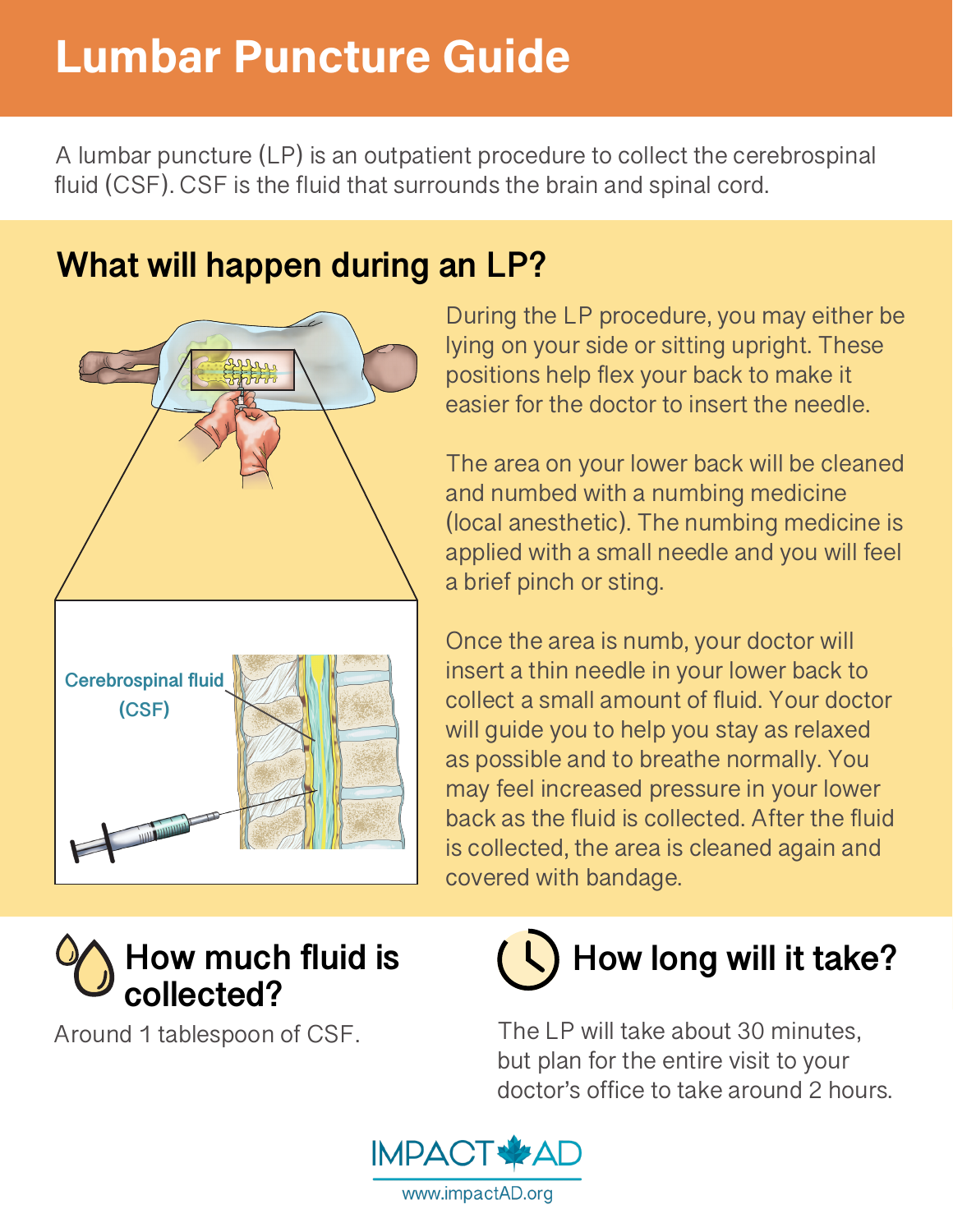## Lumbar Puncture Guide

A lumbar puncture (LP) is an outpatient procedure to collect the cerebrospinal fluid (CSF). CSF is the fluid that surrounds the brain and spinal cord.

## **What will happen during an LP?**



During the LP procedure, you may either be lying on your side or sitting upright. These positions help flex your back to make it easier for the doctor to insert the needle.

The area on your lower back will be cleaned and numbed with a numbing medicine (local anesthetic). The numbing medicine is applied with a small needle and you will feel a brief pinch or sting.

Once the area is numb, your doctor will insert a thin needle in your lower back to collect a small amount of fluid. Your doctor will guide you to help you stay as relaxed as possible and to breathe normally. You may feel increased pressure in your lower back as the fluid is collected. After the fluid is collected, the area is cleaned again and covered with bandage.



Around 1 tablespoon of CSF.



The LP will take about 30 minutes, but plan for the entire visit to your doctor's office to take around 2 hours.